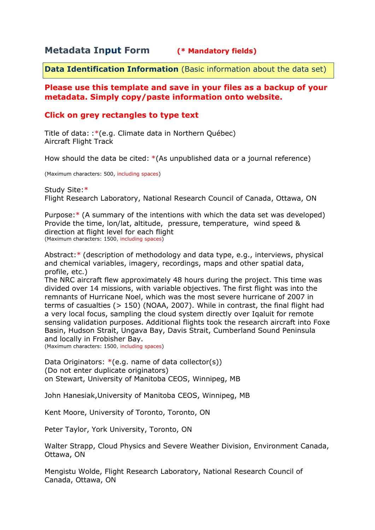# **Metadata Input Form (\* Mandatory fields)**

**Data Identification Information** (Basic information about the data set)

## **Please use this template and save in your files as a backup of your metadata. Simply copy/paste information onto website.**

## **Click on grey rectangles to type text**

Title of data: :\*(e.g. Climate data in Northern Québec) Aircraft Flight Track

How should the data be cited: \*(As unpublished data or a journal reference)

(Maximum characters: 500, including spaces)

Study Site:\* Flight Research Laboratory, National Research Council of Canada, Ottawa, ON

Purpose:\* (A summary of the intentions with which the data set was developed) Provide the time, lon/lat, altitude, pressure, temperature, wind speed & direction at flight level for each flight (Maximum characters: 1500, including spaces)

Abstract:\* (description of methodology and data type, e.g., interviews, physical and chemical variables, imagery, recordings, maps and other spatial data, profile, etc.)

The NRC aircraft flew approximately 48 hours during the project. This time was divided over 14 missions, with variable objectives. The first flight was into the remnants of Hurricane Noel, which was the most severe hurricane of 2007 in terms of casualties (> 150) (NOAA, 2007). While in contrast, the final flight had a very local focus, sampling the cloud system directly over Igaluit for remote sensing validation purposes. Additional flights took the research aircraft into Foxe Basin, Hudson Strait, Ungava Bay, Davis Strait, Cumberland Sound Peninsula and locally in Frobisher Bay.

(Maximum characters: 1500, including spaces)

Data Originators:  $*(e.g., name of data collector(s))$ (Do not enter duplicate originators) on Stewart, University of Manitoba CEOS, Winnipeg, MB

John Hanesiak,University of Manitoba CEOS, Winnipeg, MB

Kent Moore, University of Toronto, Toronto, ON

Peter Taylor, York University, Toronto, ON

Walter Strapp, Cloud Physics and Severe Weather Division, Environment Canada, Ottawa, ON

Mengistu Wolde, Flight Research Laboratory, National Research Council of Canada, Ottawa, ON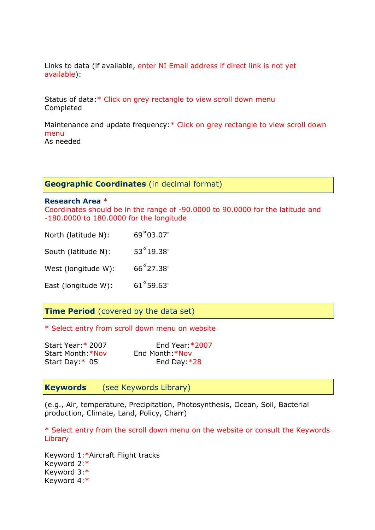Links to data (if available, enter NI Email address if direct link is not yet available):

Status of data:\* Click on grey rectangle to view scroll down menu Completed

Maintenance and update frequency:\* Click on grey rectangle to view scroll down menu As needed

**Geographic Coordinates** (in decimal format)

#### **Research Area** \*

Coordinates should be in the range of -90.0000 to 90.0000 for the latitude and -180.0000 to 180.0000 for the longitude

| North (latitude N): | 69°03.07'          |
|---------------------|--------------------|
| South (latitude N): | $53^{\circ}19.38'$ |
| West (longitude W): | 66°27.38'          |
| East (longitude W): | 61°59.63'          |

## **Time Period** (covered by the data set)

\* Select entry from scroll down menu on website

| Start Year: * 2007 | End Year: $*2007$ |
|--------------------|-------------------|
| Start Month: *Nov  | End Month *Nov    |
| Start Day: $*$ 05  | End Day: $*28$    |

## **Keywords** (see Keywords Library)

(e.g., Air, temperature, Precipitation, Photosynthesis, Ocean, Soil, Bacterial production, Climate, Land, Policy, Charr)

\* Select entry from the scroll down menu on the website or consult the Keywords Library

Keyword 1:\*Aircraft Flight tracks Keyword 2:\* Keyword 3:\* Keyword 4:\*